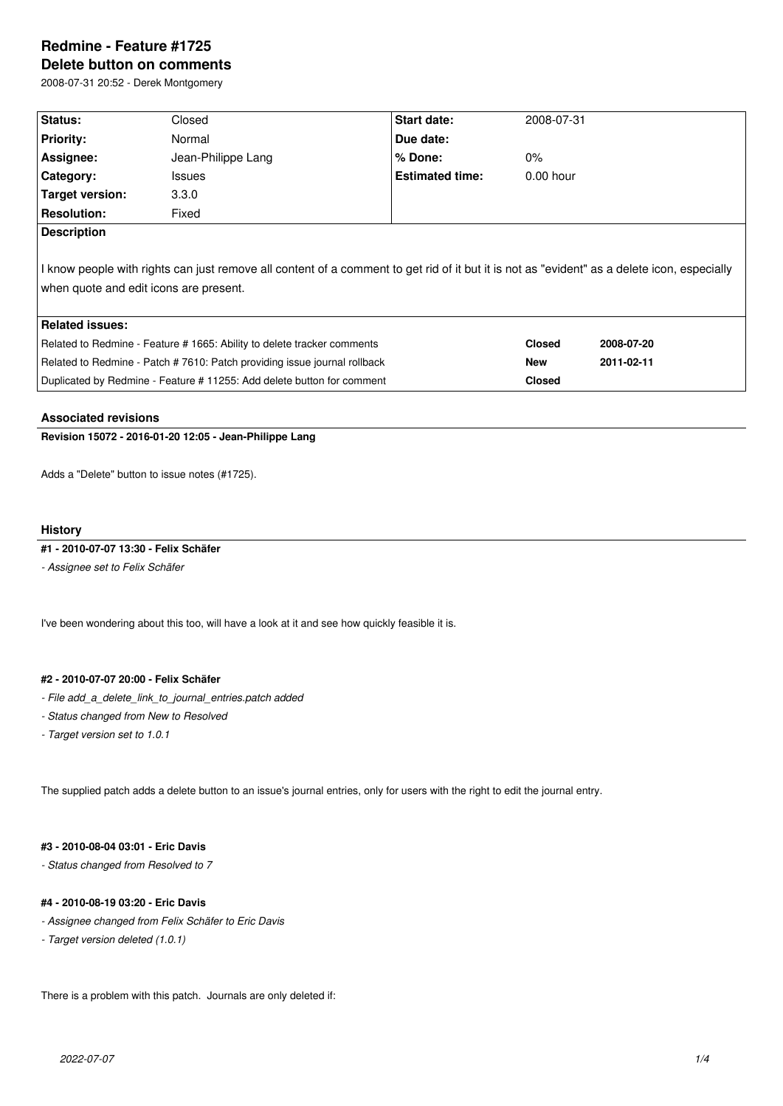# **Redmine - Feature #1725 Delete button on comments**

2008-07-31 20:52 - Derek Montgomery

| Status:                                                                                                                                     | Closed             | <b>Start date:</b>     | 2008-07-31    |            |  |  |
|---------------------------------------------------------------------------------------------------------------------------------------------|--------------------|------------------------|---------------|------------|--|--|
| <b>Priority:</b>                                                                                                                            | Normal             | Due date:              |               |            |  |  |
| Assignee:                                                                                                                                   | Jean-Philippe Lang | $%$ Done:              | $0\%$         |            |  |  |
| Category:                                                                                                                                   | <b>Issues</b>      | <b>Estimated time:</b> | $0.00$ hour   |            |  |  |
| Target version:                                                                                                                             | 3.3.0              |                        |               |            |  |  |
| <b>Resolution:</b>                                                                                                                          | Fixed              |                        |               |            |  |  |
| <b>Description</b>                                                                                                                          |                    |                        |               |            |  |  |
| I know people with rights can just remove all content of a comment to get rid of it but it is not as "evident" as a delete icon, especially |                    |                        |               |            |  |  |
| when quote and edit icons are present.                                                                                                      |                    |                        |               |            |  |  |
|                                                                                                                                             |                    |                        |               |            |  |  |
| <b>Related issues:</b>                                                                                                                      |                    |                        |               |            |  |  |
| Related to Redmine - Feature # 1665: Ability to delete tracker comments                                                                     |                    |                        | <b>Closed</b> | 2008-07-20 |  |  |
| Related to Redmine - Patch # 7610: Patch providing issue journal rollback                                                                   |                    |                        | <b>New</b>    | 2011-02-11 |  |  |
| Duplicated by Redmine - Feature # 11255: Add delete button for comment                                                                      |                    |                        | <b>Closed</b> |            |  |  |

#### **Associated revisions**

**Revision 15072 - 2016-01-20 12:05 - Jean-Philippe Lang**

Adds a "Delete" button to issue notes (#1725).

#### **History**

#### **#1 - 2010-07-07 13:30 - Felix Schäfer**

*- Assignee set to Felix Schäfer*

I've been wondering about this too, will have a look at it and see how quickly feasible it is.

#### **#2 - 2010-07-07 20:00 - Felix Schäfer**

- *File add\_a\_delete\_link\_to\_journal\_entries.patch added*
- *Status changed from New to Resolved*
- *Target version set to 1.0.1*

The supplied patch adds a delete button to an issue's journal entries, only for users with the right to edit the journal entry.

# **#3 - 2010-08-04 03:01 - Eric Davis**

*- Status changed from Resolved to 7*

#### **#4 - 2010-08-19 03:20 - Eric Davis**

- *Assignee changed from Felix Schäfer to Eric Davis*
- *Target version deleted (1.0.1)*

There is a problem with this patch. Journals are only deleted if: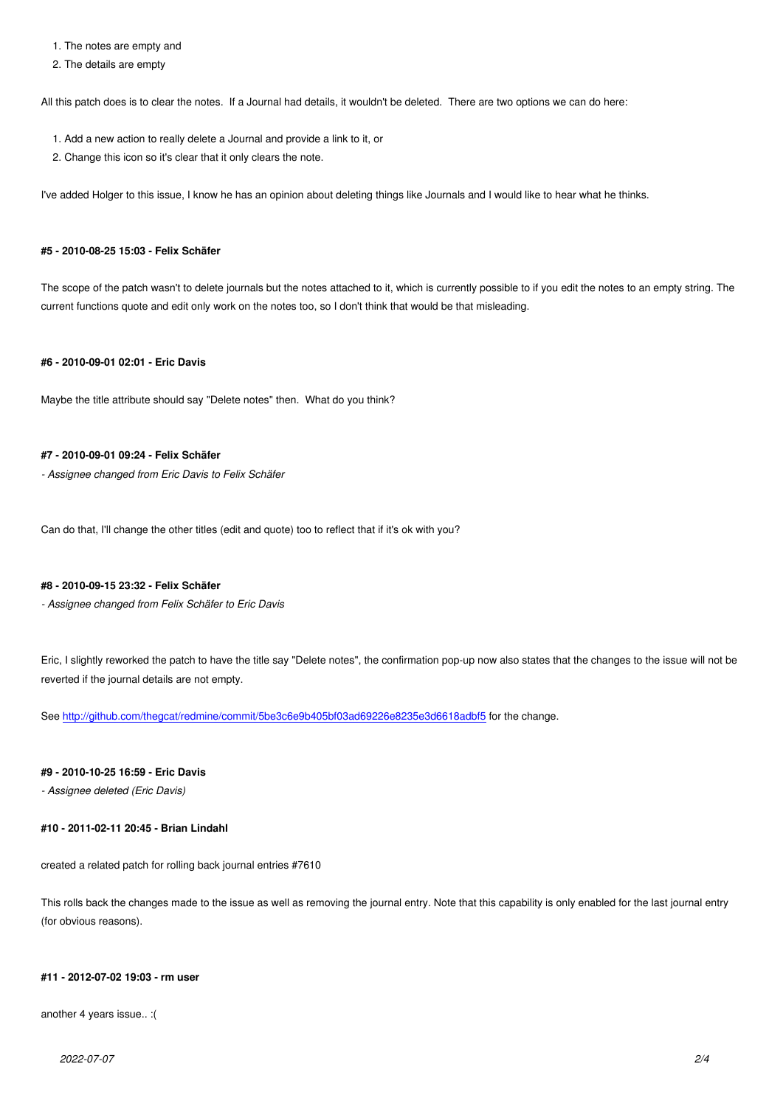#### 2. The details are empty

All this patch does is to clear the notes. If a Journal had details, it wouldn't be deleted. There are two options we can do here:

- 1. Add a new action to really delete a Journal and provide a link to it, or
- 2. Change this icon so it's clear that it only clears the note.

I've added Holger to this issue, I know he has an opinion about deleting things like Journals and I would like to hear what he thinks.

#### **#5 - 2010-08-25 15:03 - Felix Schäfer**

The scope of the patch wasn't to delete journals but the notes attached to it, which is currently possible to if you edit the notes to an empty string. The current functions quote and edit only work on the notes too, so I don't think that would be that misleading.

# **#6 - 2010-09-01 02:01 - Eric Davis**

Maybe the title attribute should say "Delete notes" then. What do you think?

# **#7 - 2010-09-01 09:24 - Felix Schäfer**

*- Assignee changed from Eric Davis to Felix Schäfer*

Can do that, I'll change the other titles (edit and quote) too to reflect that if it's ok with you?

#### **#8 - 2010-09-15 23:32 - Felix Schäfer**

*- Assignee changed from Felix Schäfer to Eric Davis*

Eric, I slightly reworked the patch to have the title say "Delete notes", the confirmation pop-up now also states that the changes to the issue will not be reverted if the journal details are not empty.

See http://github.com/thegcat/redmine/commit/5be3c6e9b405bf03ad69226e8235e3d6618adbf5 for the change.

### **#9 - 2010-10-25 16:59 - Eric Davis**

*- As[signee deleted \(Eric Davis\)](http://github.com/thegcat/redmine/commit/5be3c6e9b405bf03ad69226e8235e3d6618adbf5)*

#### **#10 - 2011-02-11 20:45 - Brian Lindahl**

created a related patch for rolling back journal entries #7610

This rolls back the changes made to the issue as well as removing the journal entry. Note that this capability is only enabled for the last journal entry (for obvious reasons).

#### **#11 - 2012-07-02 19:03 - rm user**

another 4 years issue.. :(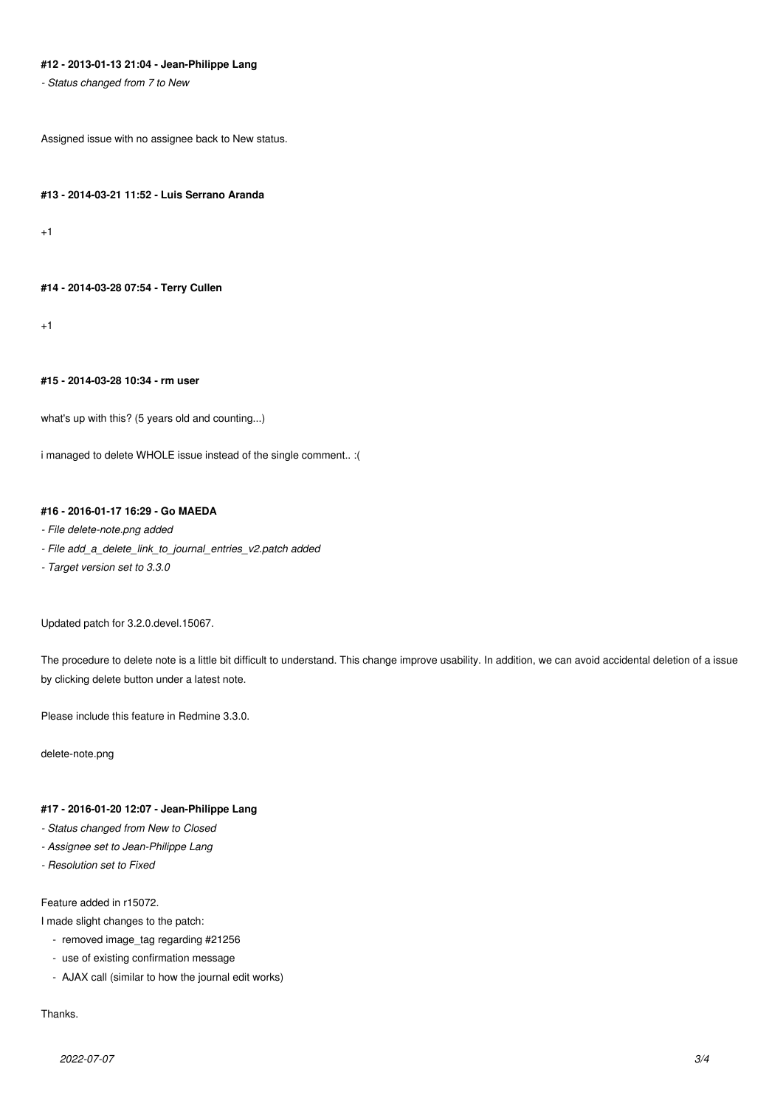# **#12 - 2013-01-13 21:04 - Jean-Philippe Lang**

*- Status changed from 7 to New*

Assigned issue with no assignee back to New status.

#### **#13 - 2014-03-21 11:52 - Luis Serrano Aranda**

+1

#### **#14 - 2014-03-28 07:54 - Terry Cullen**

+1

# **#15 - 2014-03-28 10:34 - rm user**

what's up with this? (5 years old and counting...)

i managed to delete WHOLE issue instead of the single comment.. :(

# **#16 - 2016-01-17 16:29 - Go MAEDA**

#### *- File delete-note.png added*

- *File add\_a\_delete\_link\_to\_journal\_entries\_v2.patch added*
- *Target version set to 3.3.0*

Updated patch for 3.2.0.devel.15067.

The procedure to delete note is a little bit difficult to understand. This change improve usability. In addition, we can avoid accidental deletion of a issue by clicking delete button under a latest note.

Please include this feature in Redmine 3.3.0.

delete-note.png

#### **#17 - 2016-01-20 12:07 - Jean-Philippe Lang**

- *Status changed from New to Closed*
- *Assignee set to Jean-Philippe Lang*
- *Resolution set to Fixed*

#### Feature added in r15072.

I made slight changes to the patch:

- removed image\_tag regarding #21256
- use of existing confirmation message
- AJAX call (similar to how the journal edit works)

### Thanks.